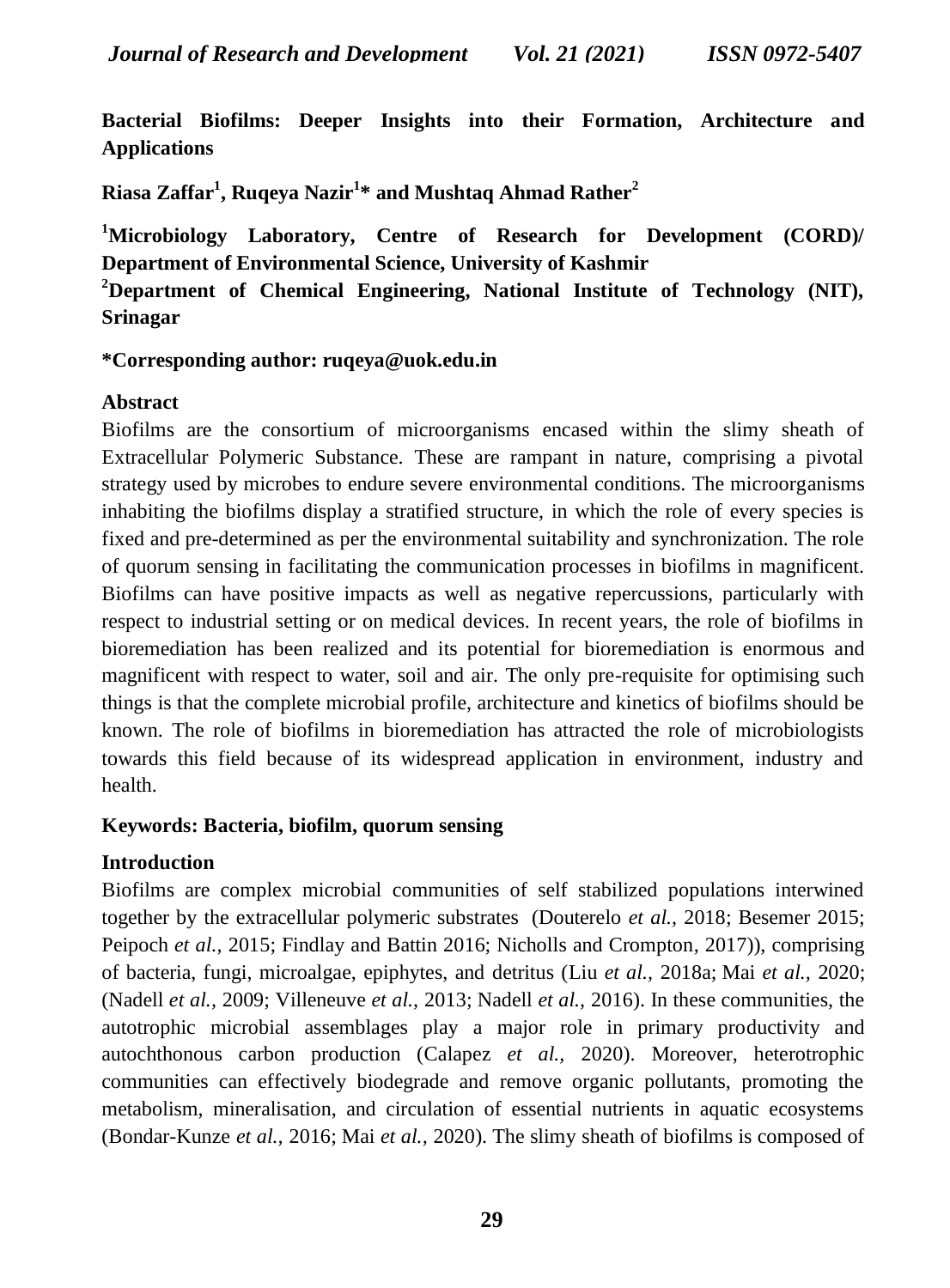**Bacterial Biofilms: Deeper Insights into their Formation, Architecture and Applications** 

**Riasa Zaffar<sup>1</sup> , Ruqeya Nazir<sup>1</sup> \* and Mushtaq Ahmad Rather<sup>2</sup>**

**<sup>1</sup>Microbiology Laboratory, Centre of Research for Development (CORD)/ Department of Environmental Science, University of Kashmir**

**<sup>2</sup>Department of Chemical Engineering, National Institute of Technology (NIT), Srinagar**

**\*Corresponding author: ruqeya@uok.edu.in**

## **Abstract**

Biofilms are the consortium of microorganisms encased within the slimy sheath of Extracellular Polymeric Substance. These are rampant in nature, comprising a pivotal strategy used by microbes to endure severe environmental conditions. The microorganisms inhabiting the biofilms display a stratified structure, in which the role of every species is fixed and pre-determined as per the environmental suitability and synchronization. The role of quorum sensing in facilitating the communication processes in biofilms in magnificent. Biofilms can have positive impacts as well as negative repercussions, particularly with respect to industrial setting or on medical devices. In recent years, the role of biofilms in bioremediation has been realized and its potential for bioremediation is enormous and magnificent with respect to water, soil and air. The only pre-requisite for optimising such things is that the complete microbial profile, architecture and kinetics of biofilms should be known. The role of biofilms in bioremediation has attracted the role of microbiologists towards this field because of its widespread application in environment, industry and health.

#### **Keywords: Bacteria, biofilm, quorum sensing**

## **Introduction**

Biofilms are complex microbial communities of self stabilized populations interwined together by the extracellular polymeric substrates [\(Douterelo](https://www.ncbi.nlm.nih.gov/pmc/articles/PMC8350161/#ref15) *et al.,* 2018; Besemer 2015; Peipoch *et al.,* 2015; Findlay and Battin 2016; Nicholls and Crompton, 2017)), comprising of bacteria, fungi, microalgae, epiphytes, and detritus (Liu *[et al.,](https://www.ncbi.nlm.nih.gov/pmc/articles/PMC8350161/#ref28)* 2018a; Mai *[et al.,](https://www.ncbi.nlm.nih.gov/pmc/articles/PMC8350161/#ref33)* 2020; (Nadell *et al.,* 2009; Villeneuve *et al.,* 2013; Nadell *et al.,* 2016). In these communities, the autotrophic microbial assemblages play a major role in primary productivity and autochthonous carbon production [\(Calapez](https://www.ncbi.nlm.nih.gov/pmc/articles/PMC8350161/#ref9) *et al.,* 2020). Moreover, heterotrophic communities can effectively biodegrade and remove organic pollutants, promoting the metabolism, mineralisation, and circulation of essential nutrients in aquatic ecosystems [\(Bondar-Kunze](https://www.ncbi.nlm.nih.gov/pmc/articles/PMC8350161/#ref8) *et al.,* 2016; Mai *[et al.,](https://www.ncbi.nlm.nih.gov/pmc/articles/PMC8350161/#ref33)* 2020). The slimy sheath of biofilms is composed of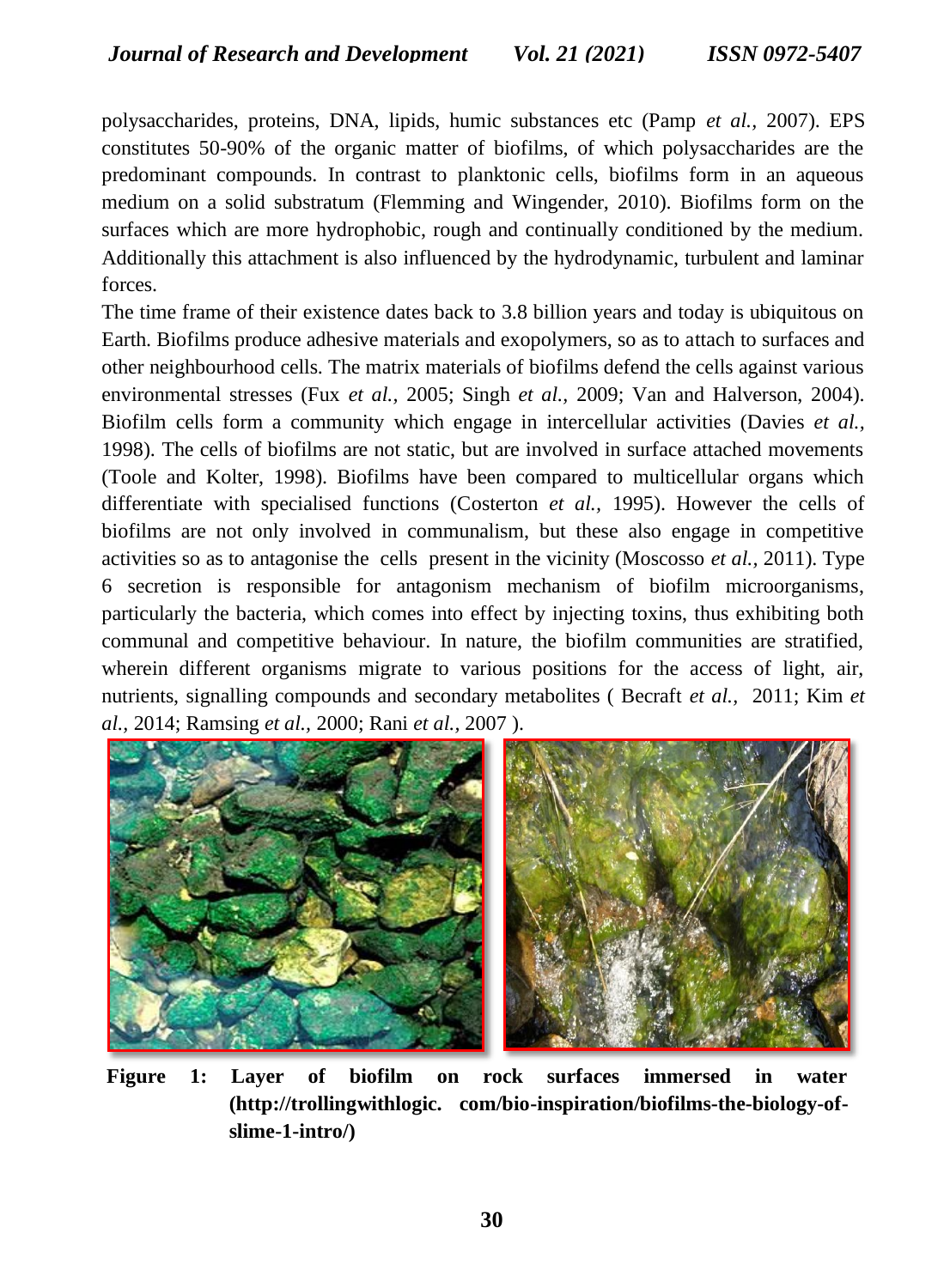polysaccharides, proteins, DNA, lipids, humic substances etc (Pamp *et al.,* 2007). EPS constitutes 50-90% of the organic matter of biofilms, of which polysaccharides are the predominant compounds. In contrast to planktonic cells, biofilms form in an aqueous medium on a solid substratum (Flemming and Wingender, 2010). Biofilms form on the surfaces which are more hydrophobic, rough and continually conditioned by the medium. Additionally this attachment is also influenced by the hydrodynamic, turbulent and laminar forces.

The time frame of their existence dates back to 3.8 billion years and today is ubiquitous on Earth. Biofilms produce adhesive materials and exopolymers, so as to attach to surfaces and other neighbourhood cells. The matrix materials of biofilms defend the cells against various environmental stresses (Fux *et al.,* 2005; Singh *et al.,* 2009; Van and Halverson, 2004). Biofilm cells form a community which engage in intercellular activities (Davies *et al.,*  1998). The cells of biofilms are not static, but are involved in surface attached movements (Toole and Kolter, 1998). Biofilms have been compared to multicellular organs which differentiate with specialised functions (Costerton *et al.,* 1995). However the cells of biofilms are not only involved in communalism, but these also engage in competitive activities so as to antagonise the cells present in the vicinity (Moscosso *et al.,* 2011). Type 6 secretion is responsible for antagonism mechanism of biofilm microorganisms, particularly the bacteria, which comes into effect by injecting toxins, thus exhibiting both communal and competitive behaviour. In nature, the biofilm communities are stratified, wherein different organisms migrate to various positions for the access of light, air, nutrients, signalling compounds and secondary metabolites ( Becraft *et al.,* 2011; Kim *et al.,* 2014; Ramsing *et al.,* 2000; Rani *et al.,* 2007 ).



**Figure 1: Layer of biofilm on rock surfaces immersed in water (http://trollingwithlogic. com/bio-inspiration/biofilms-the-biology-ofslime-1-intro/)**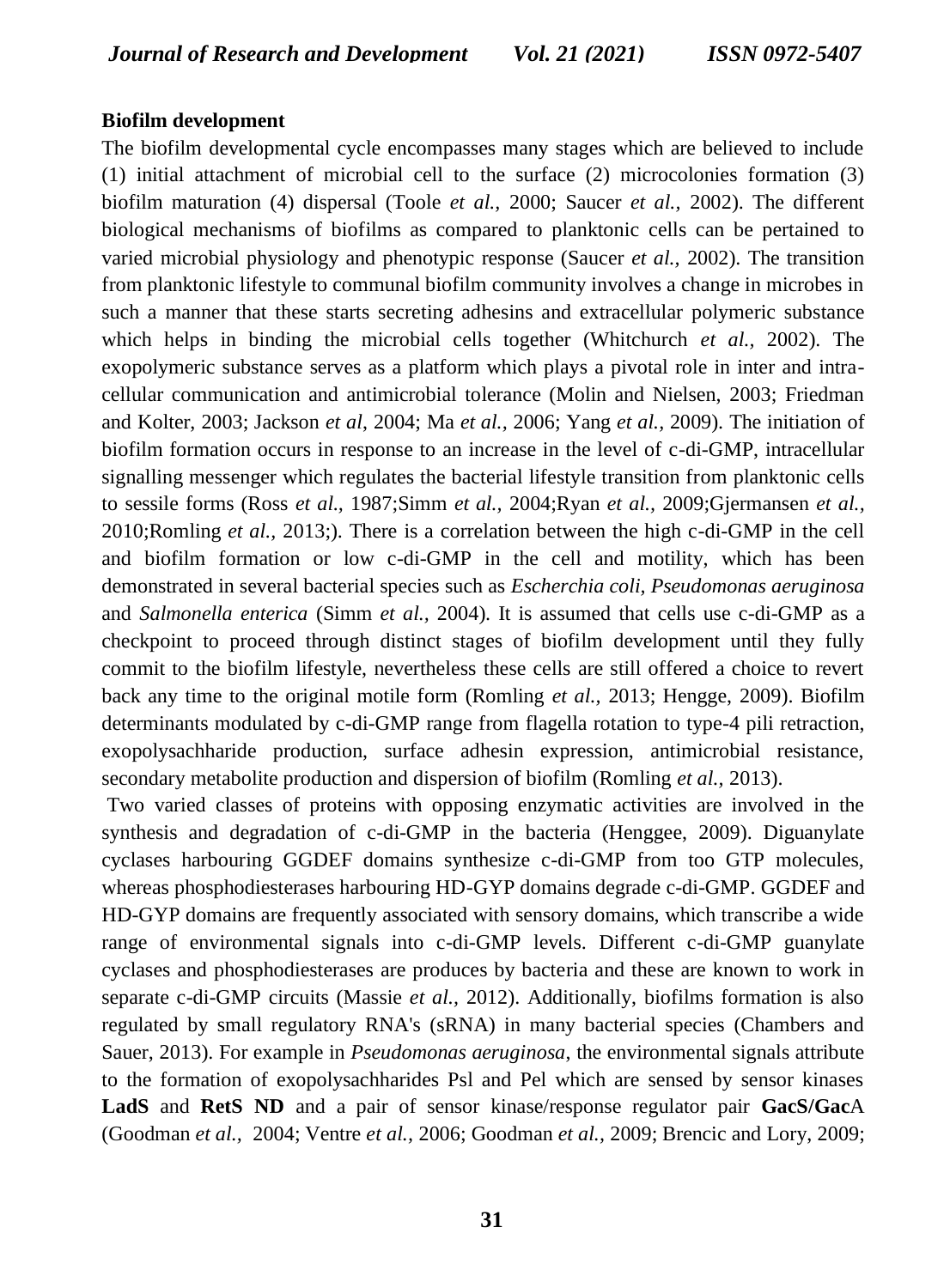#### **Biofilm development**

The biofilm developmental cycle encompasses many stages which are believed to include (1) initial attachment of microbial cell to the surface (2) microcolonies formation (3) biofilm maturation (4) dispersal (Toole *et al.,* 2000; Saucer *et al.,* 2002). The different biological mechanisms of biofilms as compared to planktonic cells can be pertained to varied microbial physiology and phenotypic response (Saucer *et al.,* 2002). The transition from planktonic lifestyle to communal biofilm community involves a change in microbes in such a manner that these starts secreting adhesins and extracellular polymeric substance which helps in binding the microbial cells together (Whitchurch *et al.,* 2002). The exopolymeric substance serves as a platform which plays a pivotal role in inter and intracellular communication and antimicrobial tolerance (Molin and Nielsen, 2003; Friedman and Kolter, 2003; Jackson *et al*, 2004; Ma *et al.,* 2006; Yang *et al.,* 2009). The initiation of biofilm formation occurs in response to an increase in the level of c-di-GMP, intracellular signalling messenger which regulates the bacterial lifestyle transition from planktonic cells to sessile forms (Ross *et al.,* 1987;Simm *et al.,* 2004;Ryan *et al.,* 2009;Gjermansen *et al.,*  2010;Romling *et al.,* 2013;). There is a correlation between the high c-di-GMP in the cell and biofilm formation or low c-di-GMP in the cell and motility, which has been demonstrated in several bacterial species such as *Escherchia coli, Pseudomonas aeruginosa* and *Salmonella enterica* (Simm *et al.,* 2004). It is assumed that cells use c-di-GMP as a checkpoint to proceed through distinct stages of biofilm development until they fully commit to the biofilm lifestyle, nevertheless these cells are still offered a choice to revert back any time to the original motile form (Romling *et al.,* 2013; Hengge, 2009). Biofilm determinants modulated by c-di-GMP range from flagella rotation to type-4 pili retraction, exopolysachharide production, surface adhesin expression, antimicrobial resistance, secondary metabolite production and dispersion of biofilm (Romling *et al.,* 2013).

Two varied classes of proteins with opposing enzymatic activities are involved in the synthesis and degradation of c-di-GMP in the bacteria (Henggee, 2009). Diguanylate cyclases harbouring GGDEF domains synthesize c-di-GMP from too GTP molecules, whereas phosphodiesterases harbouring HD-GYP domains degrade c-di-GMP. GGDEF and HD-GYP domains are frequently associated with sensory domains, which transcribe a wide range of environmental signals into c-di-GMP levels. Different c-di-GMP guanylate cyclases and phosphodiesterases are produces by bacteria and these are known to work in separate c-di-GMP circuits (Massie *et al.,* 2012). Additionally, biofilms formation is also regulated by small regulatory RNA's (sRNA) in many bacterial species (Chambers and Sauer, 2013). For example in *Pseudomonas aeruginosa*, the environmental signals attribute to the formation of exopolysachharides Psl and Pel which are sensed by sensor kinases **LadS** and **RetS ND** and a pair of sensor kinase/response regulator pair **GacS/Gac**A (Goodman *et al.,* 2004; Ventre *et al.,* 2006; Goodman *et al.,* 2009; Brencic and Lory, 2009;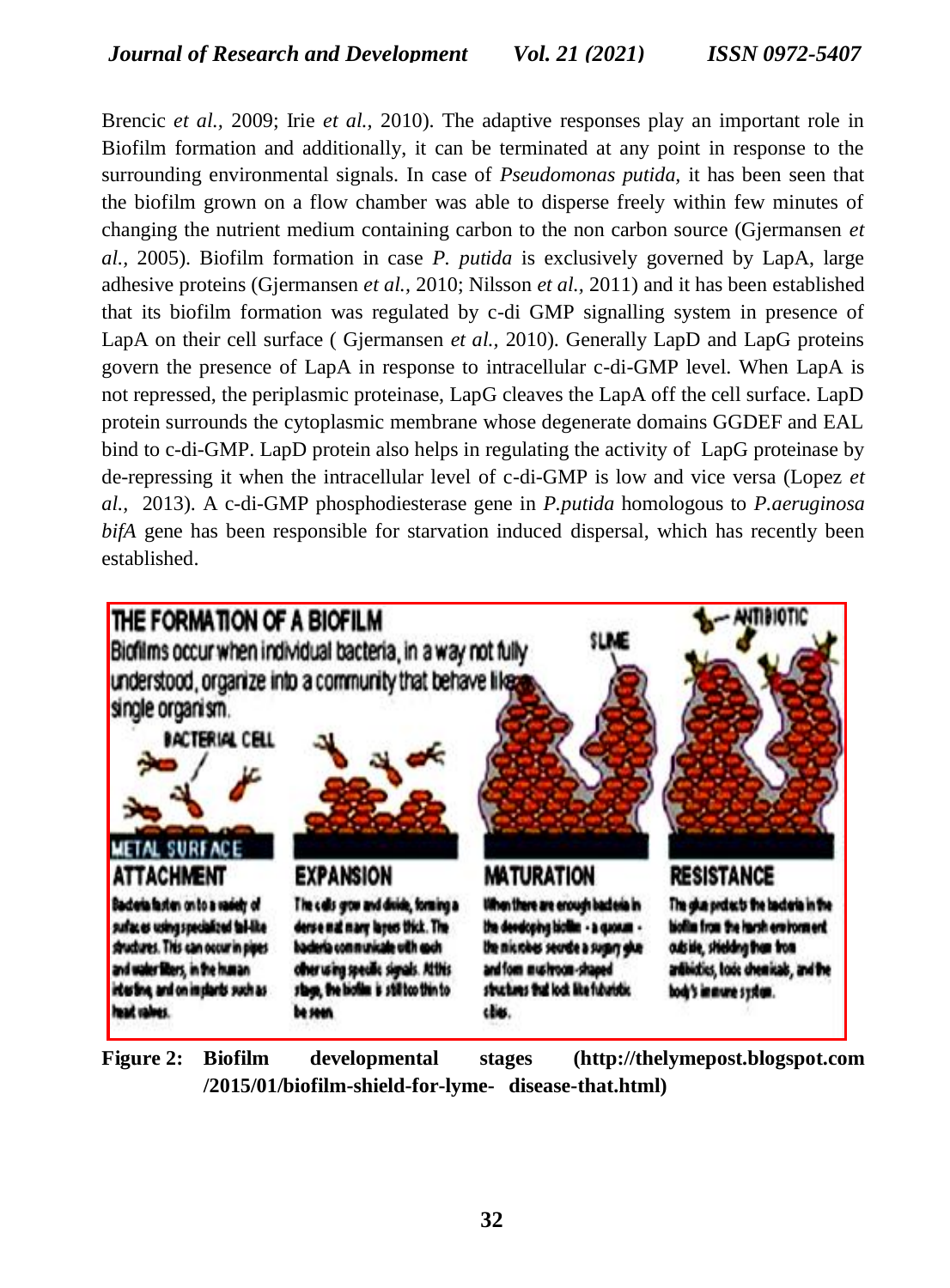Brencic *et al.,* 2009; Irie *et al.,* 2010). The adaptive responses play an important role in Biofilm formation and additionally, it can be terminated at any point in response to the surrounding environmental signals. In case of *Pseudomonas putida,* it has been seen that the biofilm grown on a flow chamber was able to disperse freely within few minutes of changing the nutrient medium containing carbon to the non carbon source (Gjermansen *et al.,* 2005). Biofilm formation in case *P. putida* is exclusively governed by LapA, large adhesive proteins (Gjermansen *et al.,* 2010; Nilsson *et al.,* 2011) and it has been established that its biofilm formation was regulated by c-di GMP signalling system in presence of LapA on their cell surface ( Gjermansen *et al.,* 2010). Generally LapD and LapG proteins govern the presence of LapA in response to intracellular c-di-GMP level. When LapA is not repressed, the periplasmic proteinase, LapG cleaves the LapA off the cell surface. LapD protein surrounds the cytoplasmic membrane whose degenerate domains GGDEF and EAL bind to c-di-GMP. LapD protein also helps in regulating the activity of LapG proteinase by de-repressing it when the intracellular level of c-di-GMP is low and vice versa (Lopez *et al.,* 2013). A c-di-GMP phosphodiesterase gene in *P.putida* homologous to *P.aeruginosa bifA* gene has been responsible for starvation induced dispersal, which has recently been established.



**Figure 2: Biofilm developmental stages [\(http://thelymepost.blogspot.com](http://thelymepost.blogspot.com/) /2015/01/biofilm-shield-for-lyme- disease-that.html)**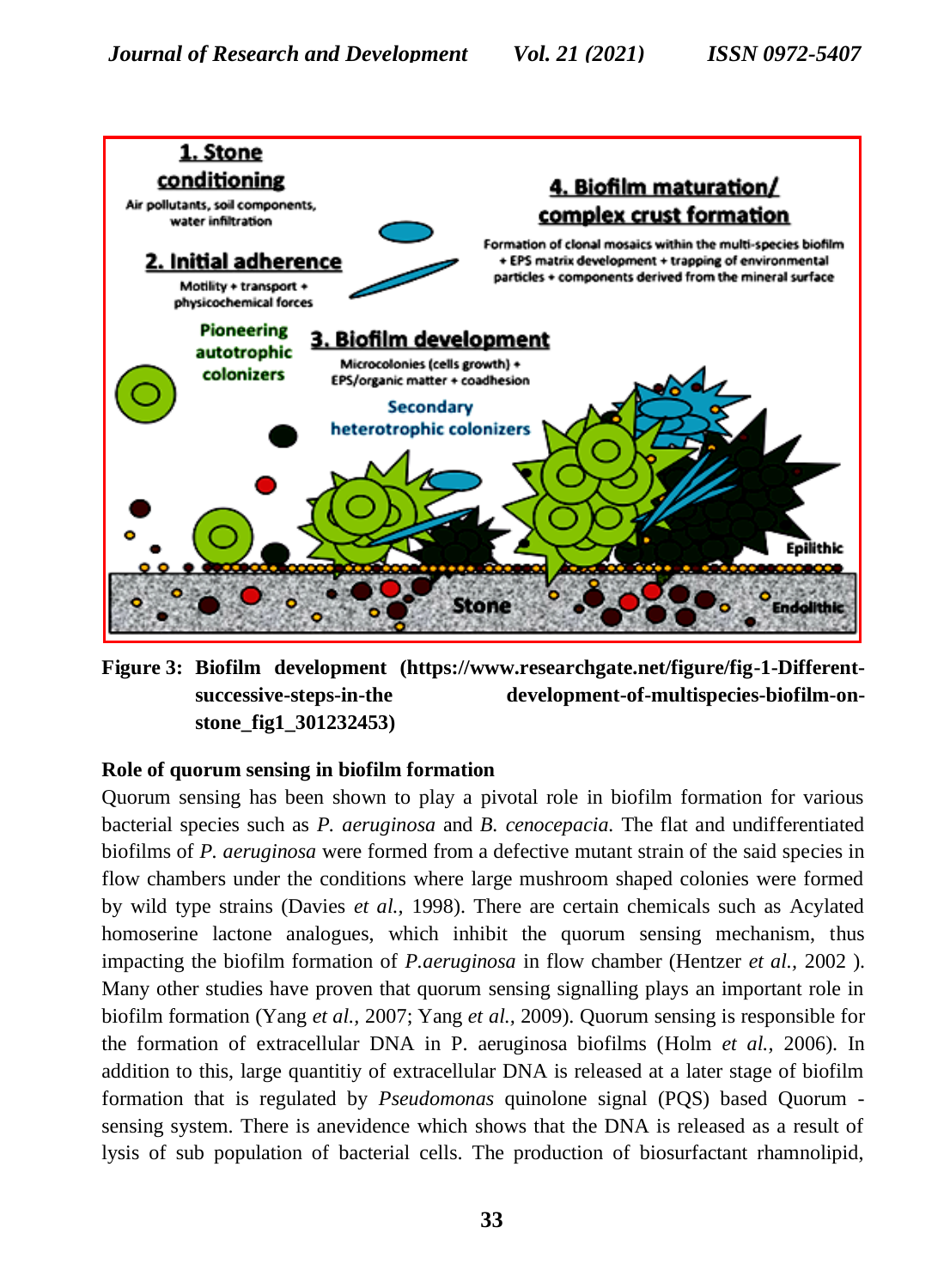

**Figure 3: Biofilm development (https://www.researchgate.net/figure/fig-1-Differentsuccessive-steps-in-the development-of-multispecies-biofilm-onstone\_fig1\_301232453)**

# **Role of quorum sensing in biofilm formation**

Quorum sensing has been shown to play a pivotal role in biofilm formation for various bacterial species such as *P. aeruginosa* and *B. cenocepacia.* The flat and undifferentiated biofilms of *P. aeruginosa* were formed from a defective mutant strain of the said species in flow chambers under the conditions where large mushroom shaped colonies were formed by wild type strains (Davies *et al.,* 1998). There are certain chemicals such as Acylated homoserine lactone analogues, which inhibit the quorum sensing mechanism, thus impacting the biofilm formation of *P.aeruginosa* in flow chamber (Hentzer *et al.,* 2002 ). Many other studies have proven that quorum sensing signalling plays an important role in biofilm formation (Yang *et al.,* 2007; Yang *et al.,* 2009). Quorum sensing is responsible for the formation of extracellular DNA in P. aeruginosa biofilms (Holm *et al.,* 2006). In addition to this, large quantitiy of extracellular DNA is released at a later stage of biofilm formation that is regulated by *Pseudomonas* quinolone signal (PQS) based Quorum sensing system. There is anevidence which shows that the DNA is released as a result of lysis of sub population of bacterial cells. The production of biosurfactant rhamnolipid,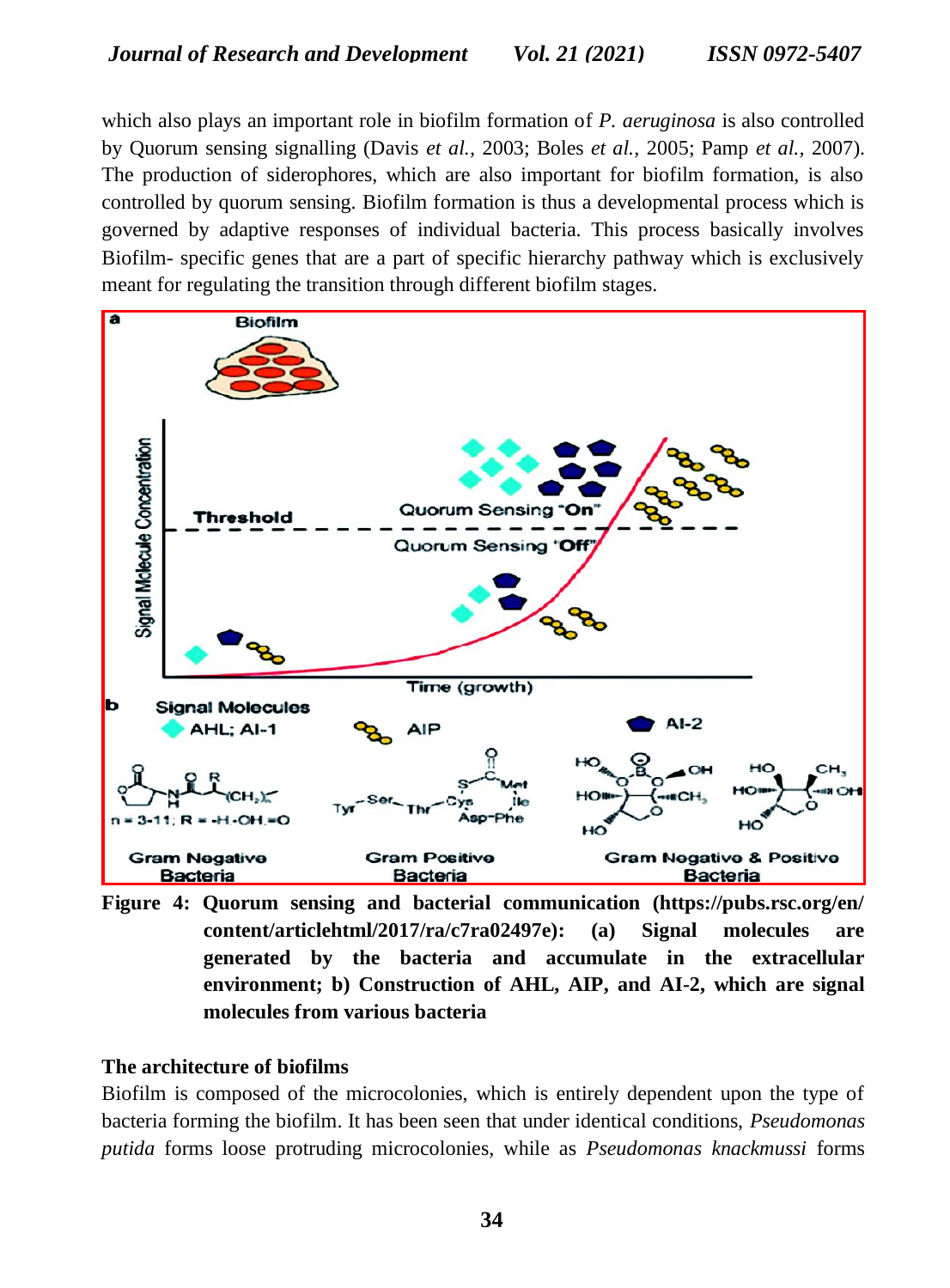which also plays an important role in biofilm formation of *P. aeruginosa* is also controlled by Quorum sensing signalling (Davis *et al.,* 2003; Boles *et al.,* 2005; Pamp *et al.,* 2007). The production of siderophores, which are also important for biofilm formation, is also controlled by quorum sensing. Biofilm formation is thus a developmental process which is governed by adaptive responses of individual bacteria. This process basically involves Biofilm- specific genes that are a part of specific hierarchy pathway which is exclusively meant for regulating the transition through different biofilm stages.



**Figure 4: Quorum sensing and bacterial communication (https://pubs.rsc.org/en/ content/articlehtml/2017/ra/c7ra02497e): (a) Signal molecules are generated by the bacteria and accumulate in the extracellular environment; b) Construction of AHL, AIP, and AI-2, which are signal molecules from various bacteria**

## **The architecture of biofilms**

Biofilm is composed of the microcolonies, which is entirely dependent upon the type of bacteria forming the biofilm. It has been seen that under identical conditions, *Pseudomonas putida* forms loose protruding microcolonies, while as *Pseudomonas knackmussi* forms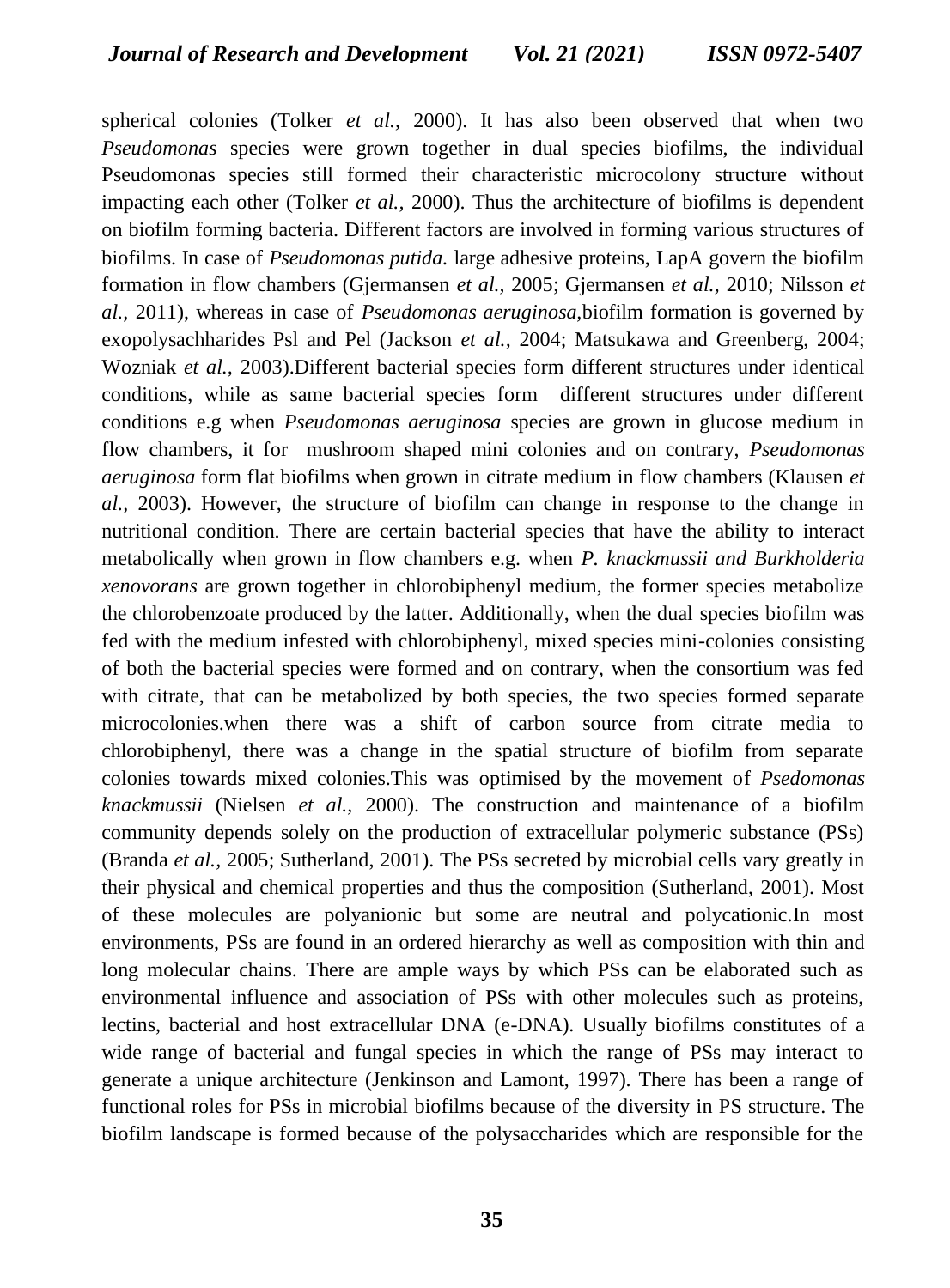spherical colonies (Tolker *et al.,* 2000). It has also been observed that when two *Pseudomonas* species were grown together in dual species biofilms, the individual Pseudomonas species still formed their characteristic microcolony structure without impacting each other (Tolker *et al.,* 2000). Thus the architecture of biofilms is dependent on biofilm forming bacteria. Different factors are involved in forming various structures of biofilms. In case of *Pseudomonas putida.* large adhesive proteins, LapA govern the biofilm formation in flow chambers (Gjermansen *et al.,* 2005; Gjermansen *et al.,* 2010; Nilsson *et al.,* 2011), whereas in case of *Pseudomonas aeruginosa,*biofilm formation is governed by exopolysachharides Psl and Pel (Jackson *et al.,* 2004; Matsukawa and Greenberg, 2004; Wozniak *et al.,* 2003).Different bacterial species form different structures under identical conditions, while as same bacterial species form different structures under different conditions e.g when *Pseudomonas aeruginosa* species are grown in glucose medium in flow chambers, it for mushroom shaped mini colonies and on contrary, *Pseudomonas aeruginosa* form flat biofilms when grown in citrate medium in flow chambers (Klausen *et al.,* 2003). However, the structure of biofilm can change in response to the change in nutritional condition. There are certain bacterial species that have the ability to interact metabolically when grown in flow chambers e.g. when *P. knackmussii and Burkholderia xenovorans* are grown together in chlorobiphenyl medium, the former species metabolize the chlorobenzoate produced by the latter. Additionally, when the dual species biofilm was fed with the medium infested with chlorobiphenyl, mixed species mini-colonies consisting of both the bacterial species were formed and on contrary, when the consortium was fed with citrate, that can be metabolized by both species, the two species formed separate microcolonies.when there was a shift of carbon source from citrate media to chlorobiphenyl, there was a change in the spatial structure of biofilm from separate colonies towards mixed colonies.This was optimised by the movement of *Psedomonas knackmussii* (Nielsen *et al.,* 2000). The construction and maintenance of a biofilm community depends solely on the production of extracellular polymeric substance (PSs) (Branda *et al.,* 2005; Sutherland, 2001). The PSs secreted by microbial cells vary greatly in their physical and chemical properties and thus the composition (Sutherland, 2001). Most of these molecules are polyanionic but some are neutral and polycationic.In most environments, PSs are found in an ordered hierarchy as well as composition with thin and long molecular chains. There are ample ways by which PSs can be elaborated such as environmental influence and association of PSs with other molecules such as proteins, lectins, bacterial and host extracellular DNA (e-DNA). Usually biofilms constitutes of a wide range of bacterial and fungal species in which the range of PSs may interact to generate a unique architecture (Jenkinson and Lamont, 1997). There has been a range of functional roles for PSs in microbial biofilms because of the diversity in PS structure. The biofilm landscape is formed because of the polysaccharides which are responsible for the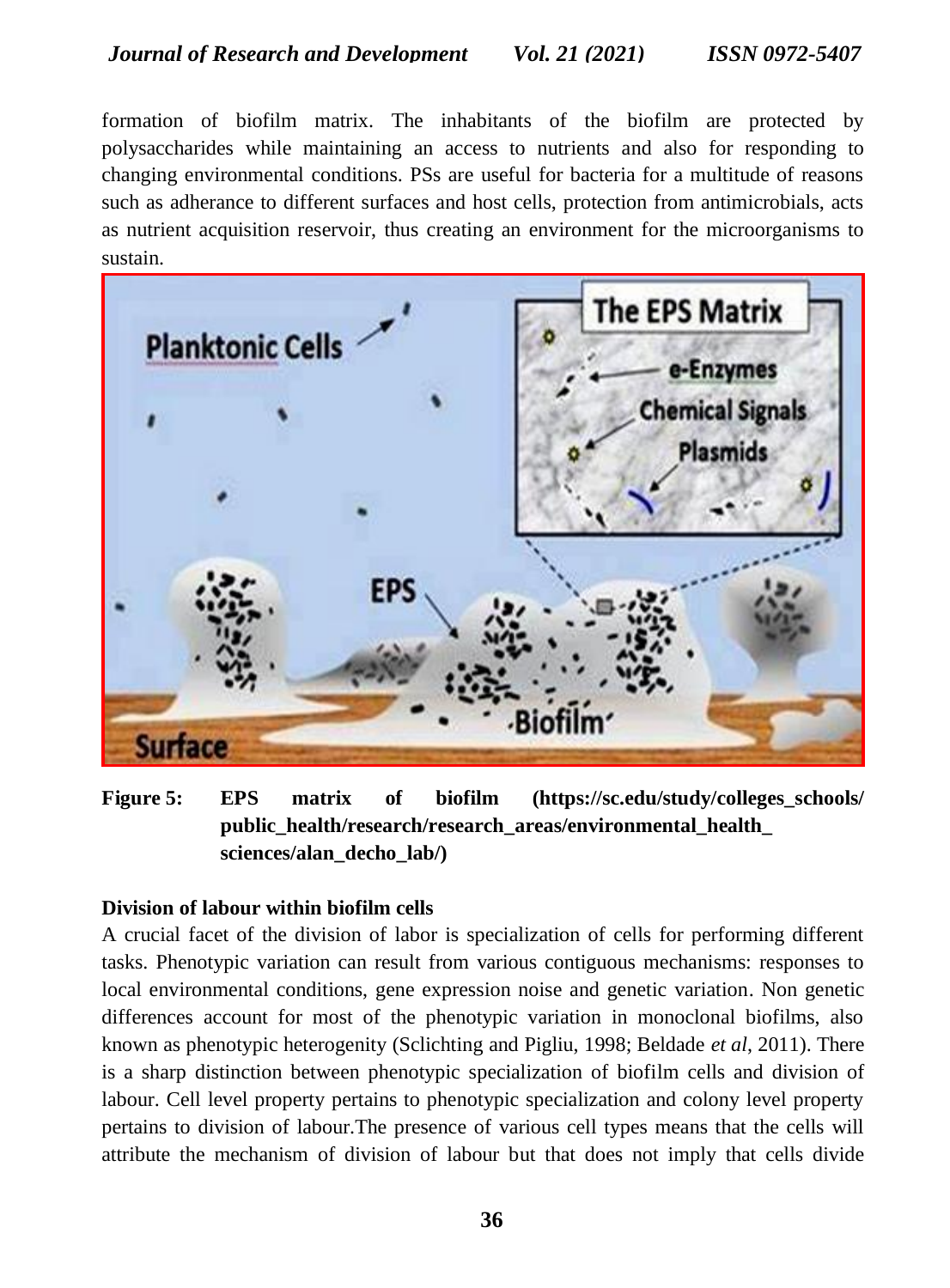formation of biofilm matrix. The inhabitants of the biofilm are protected by polysaccharides while maintaining an access to nutrients and also for responding to changing environmental conditions. PSs are useful for bacteria for a multitude of reasons such as adherance to different surfaces and host cells, protection from antimicrobials, acts as nutrient acquisition reservoir, thus creating an environment for the microorganisms to sustain.



**Figure 5: EPS matrix of biofilm (https://sc.edu/study/colleges\_schools/ public\_health/research/research\_areas/environmental\_health\_ sciences/alan\_decho\_lab/)**

## **Division of labour within biofilm cells**

A crucial facet of the division of labor is specialization of cells for performing different tasks. Phenotypic variation can result from various contiguous mechanisms: responses to local environmental conditions, gene expression noise and genetic variation. Non genetic differences account for most of the phenotypic variation in monoclonal biofilms, also known as phenotypic heterogenity (Sclichting and Pigliu, 1998; Beldade *et al*, 2011). There is a sharp distinction between phenotypic specialization of biofilm cells and division of labour. Cell level property pertains to phenotypic specialization and colony level property pertains to division of labour.The presence of various cell types means that the cells will attribute the mechanism of division of labour but that does not imply that cells divide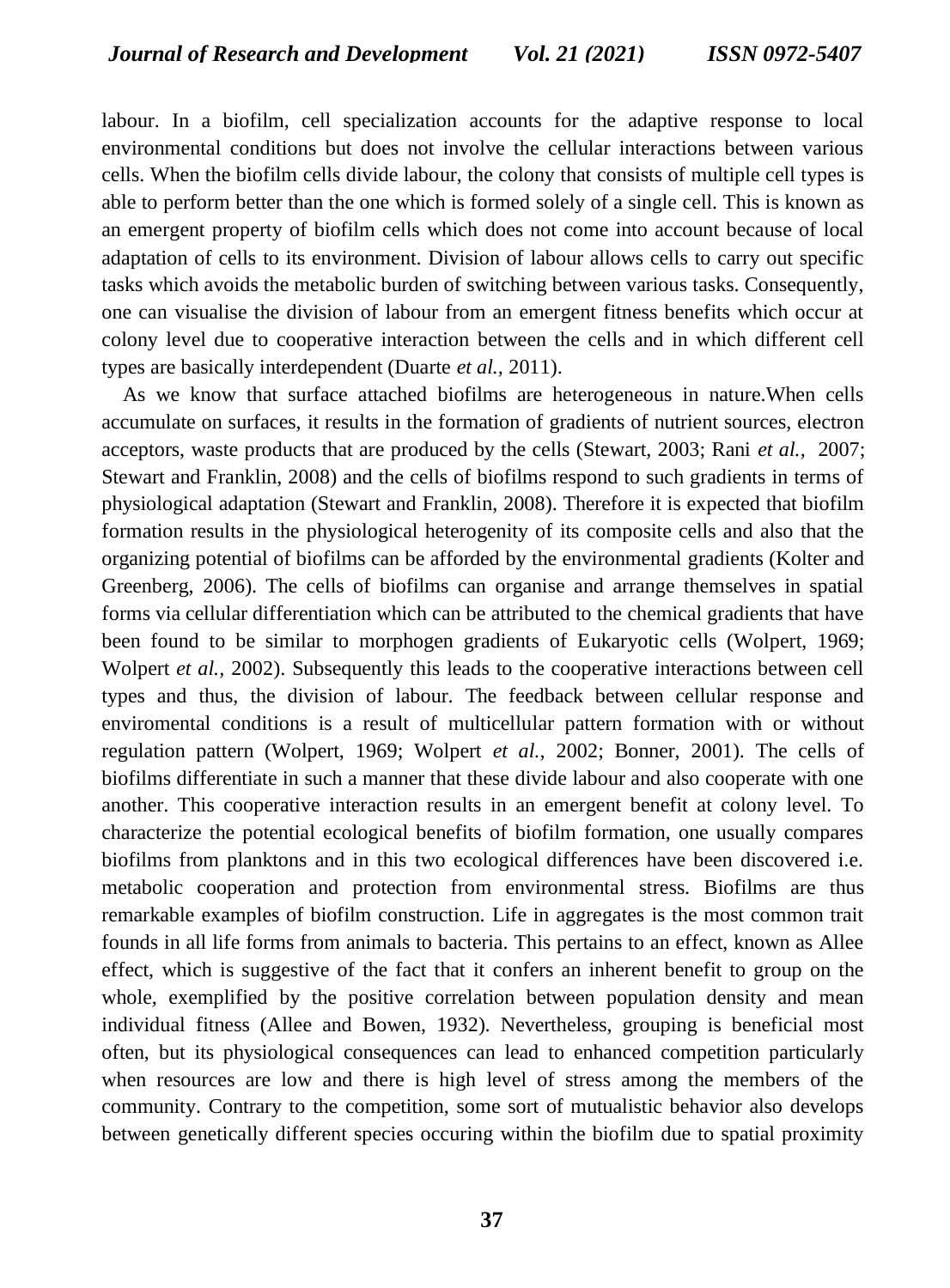labour. In a biofilm, cell specialization accounts for the adaptive response to local environmental conditions but does not involve the cellular interactions between various cells. When the biofilm cells divide labour, the colony that consists of multiple cell types is able to perform better than the one which is formed solely of a single cell. This is known as an emergent property of biofilm cells which does not come into account because of local adaptation of cells to its environment. Division of labour allows cells to carry out specific tasks which avoids the metabolic burden of switching between various tasks. Consequently, one can visualise the division of labour from an emergent fitness benefits which occur at colony level due to cooperative interaction between the cells and in which different cell types are basically interdependent (Duarte *et al.,* 2011).

 As we know that surface attached biofilms are heterogeneous in nature.When cells accumulate on surfaces, it results in the formation of gradients of nutrient sources, electron acceptors, waste products that are produced by the cells (Stewart, 2003; Rani *et al.,* 2007; Stewart and Franklin, 2008) and the cells of biofilms respond to such gradients in terms of physiological adaptation (Stewart and Franklin, 2008). Therefore it is expected that biofilm formation results in the physiological heterogenity of its composite cells and also that the organizing potential of biofilms can be afforded by the environmental gradients (Kolter and Greenberg, 2006). The cells of biofilms can organise and arrange themselves in spatial forms via cellular differentiation which can be attributed to the chemical gradients that have been found to be similar to morphogen gradients of Eukaryotic cells (Wolpert, 1969; Wolpert *et al.*, 2002). Subsequently this leads to the cooperative interactions between cell types and thus, the division of labour. The feedback between cellular response and enviromental conditions is a result of multicellular pattern formation with or without regulation pattern (Wolpert, 1969; Wolpert *et al.,* 2002; Bonner, 2001). The cells of biofilms differentiate in such a manner that these divide labour and also cooperate with one another. This cooperative interaction results in an emergent benefit at colony level. To characterize the potential ecological benefits of biofilm formation, one usually compares biofilms from planktons and in this two ecological differences have been discovered i.e. metabolic cooperation and protection from environmental stress. Biofilms are thus remarkable examples of biofilm construction. Life in aggregates is the most common trait founds in all life forms from animals to bacteria. This pertains to an effect, known as Allee effect, which is suggestive of the fact that it confers an inherent benefit to group on the whole, exemplified by the positive correlation between population density and mean individual fitness (Allee and Bowen, 1932). Nevertheless, grouping is beneficial most often, but its physiological consequences can lead to enhanced competition particularly when resources are low and there is high level of stress among the members of the community. Contrary to the competition, some sort of mutualistic behavior also develops between genetically different species occuring within the biofilm due to spatial proximity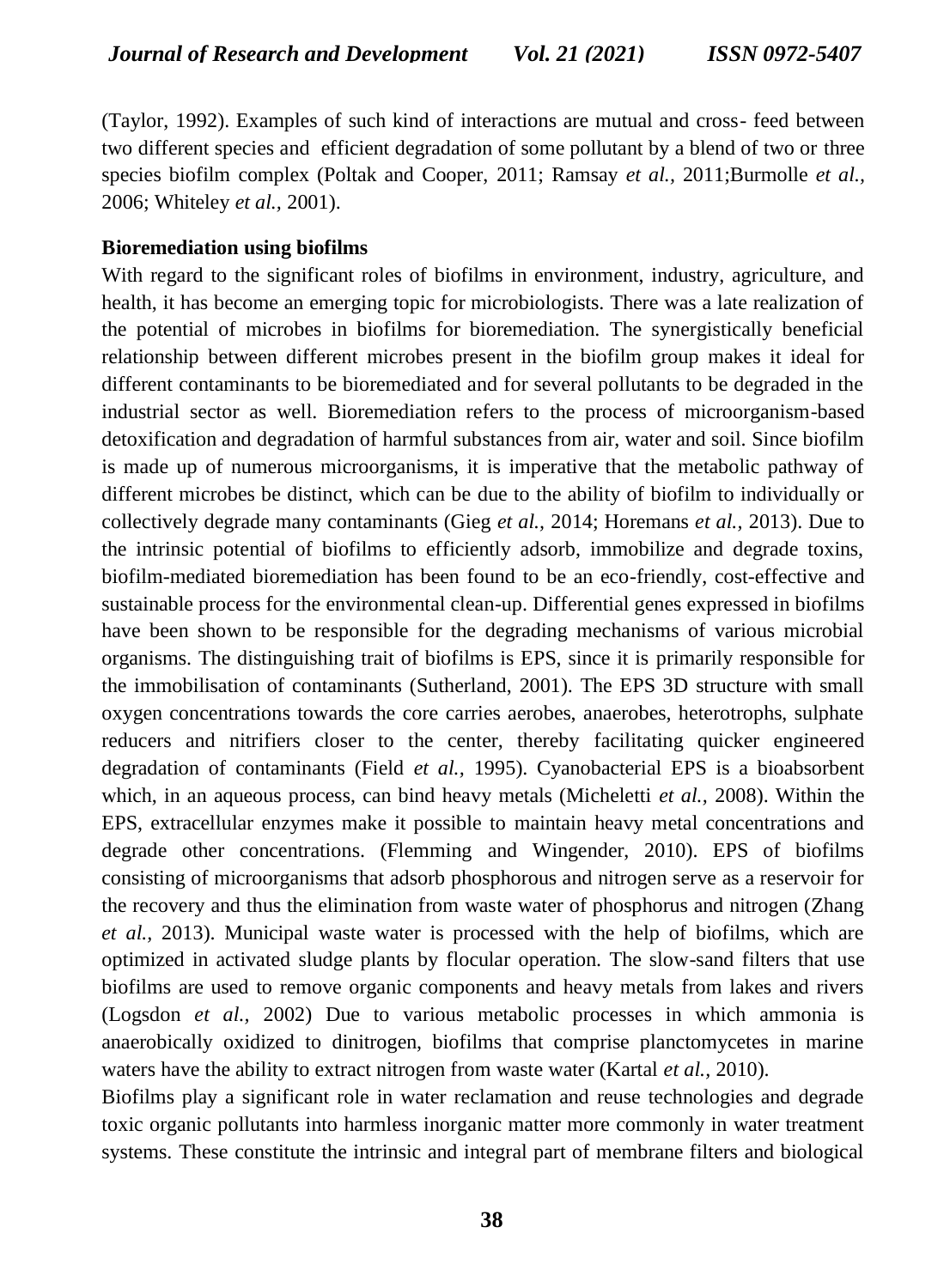(Taylor, 1992). Examples of such kind of interactions are mutual and cross- feed between two different species and efficient degradation of some pollutant by a blend of two or three species biofilm complex (Poltak and Cooper, 2011; Ramsay *et al.,* 2011;Burmolle *et al.,*  2006; Whiteley *et al.,* 2001).

#### **Bioremediation using biofilms**

With regard to the significant roles of biofilms in environment, industry, agriculture, and health, it has become an emerging topic for microbiologists. There was a late realization of the potential of microbes in biofilms for bioremediation. The synergistically beneficial relationship between different microbes present in the biofilm group makes it ideal for different contaminants to be bioremediated and for several pollutants to be degraded in the industrial sector as well. Bioremediation refers to the process of microorganism-based detoxification and degradation of harmful substances from air, water and soil. Since biofilm is made up of numerous microorganisms, it is imperative that the metabolic pathway of different microbes be distinct, which can be due to the ability of biofilm to individually or collectively degrade many contaminants (Gieg *et al.,* 2014; Horemans *et al.,* 2013). Due to the intrinsic potential of biofilms to efficiently adsorb, immobilize and degrade toxins, biofilm-mediated bioremediation has been found to be an eco-friendly, cost-effective and sustainable process for the environmental clean-up. Differential genes expressed in biofilms have been shown to be responsible for the degrading mechanisms of various microbial organisms. The distinguishing trait of biofilms is EPS, since it is primarily responsible for the immobilisation of contaminants (Sutherland, 2001). The EPS 3D structure with small oxygen concentrations towards the core carries aerobes, anaerobes, heterotrophs, sulphate reducers and nitrifiers closer to the center, thereby facilitating quicker engineered degradation of contaminants (Field *et al.,* 1995). Cyanobacterial EPS is a bioabsorbent which, in an aqueous process, can bind heavy metals (Micheletti *et al.,* 2008). Within the EPS, extracellular enzymes make it possible to maintain heavy metal concentrations and degrade other concentrations. (Flemming and Wingender, 2010). EPS of biofilms consisting of microorganisms that adsorb phosphorous and nitrogen serve as a reservoir for the recovery and thus the elimination from waste water of phosphorus and nitrogen (Zhang *et al.,* 2013). Municipal waste water is processed with the help of biofilms, which are optimized in activated sludge plants by flocular operation. The slow-sand filters that use biofilms are used to remove organic components and heavy metals from lakes and rivers (Logsdon *et al.,* 2002) Due to various metabolic processes in which ammonia is anaerobically oxidized to dinitrogen, biofilms that comprise planctomycetes in marine waters have the ability to extract nitrogen from waste water (Kartal *et al.,* 2010).

Biofilms play a significant role in water reclamation and reuse technologies and degrade toxic organic pollutants into harmless inorganic matter more commonly in water treatment systems. These constitute the intrinsic and integral part of membrane filters and biological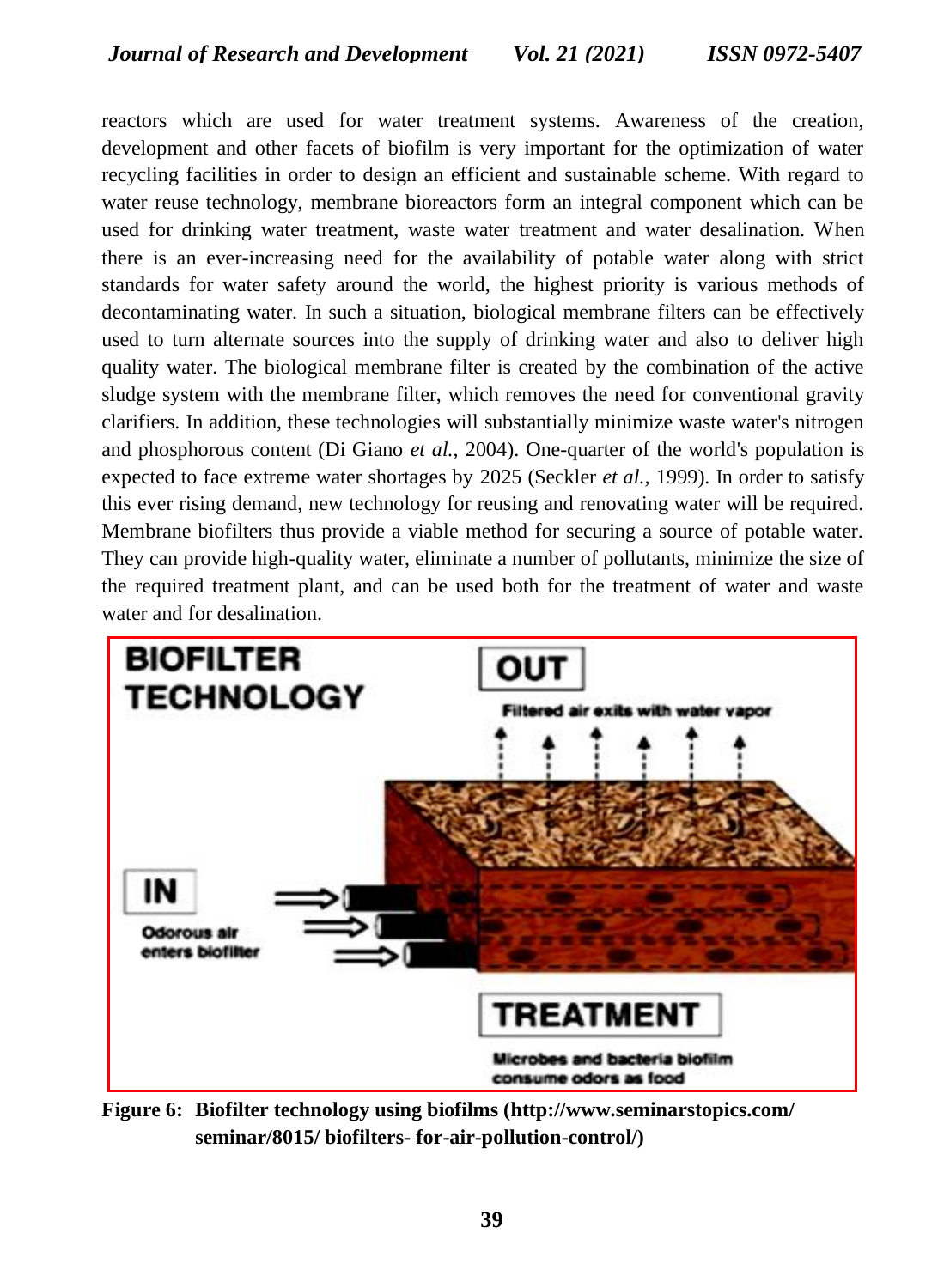reactors which are used for water treatment systems. Awareness of the creation, development and other facets of biofilm is very important for the optimization of water recycling facilities in order to design an efficient and sustainable scheme. With regard to water reuse technology, membrane bioreactors form an integral component which can be used for drinking water treatment, waste water treatment and water desalination. When there is an ever-increasing need for the availability of potable water along with strict standards for water safety around the world, the highest priority is various methods of decontaminating water. In such a situation, biological membrane filters can be effectively used to turn alternate sources into the supply of drinking water and also to deliver high quality water. The biological membrane filter is created by the combination of the active sludge system with the membrane filter, which removes the need for conventional gravity clarifiers. In addition, these technologies will substantially minimize waste water's nitrogen and phosphorous content (Di Giano *et al.,* 2004). One-quarter of the world's population is expected to face extreme water shortages by 2025 (Seckler *et al.,* 1999). In order to satisfy this ever rising demand, new technology for reusing and renovating water will be required. Membrane biofilters thus provide a viable method for securing a source of potable water. They can provide high-quality water, eliminate a number of pollutants, minimize the size of the required treatment plant, and can be used both for the treatment of water and waste water and for desalination.



**Figure 6: Biofilter technology using biofilms [\(http://www.seminarstopics.com/](http://www.seminarstopics.com/seminar/)  [seminar/8](http://www.seminarstopics.com/seminar/)015/ biofilters- for-air-pollution-control/)**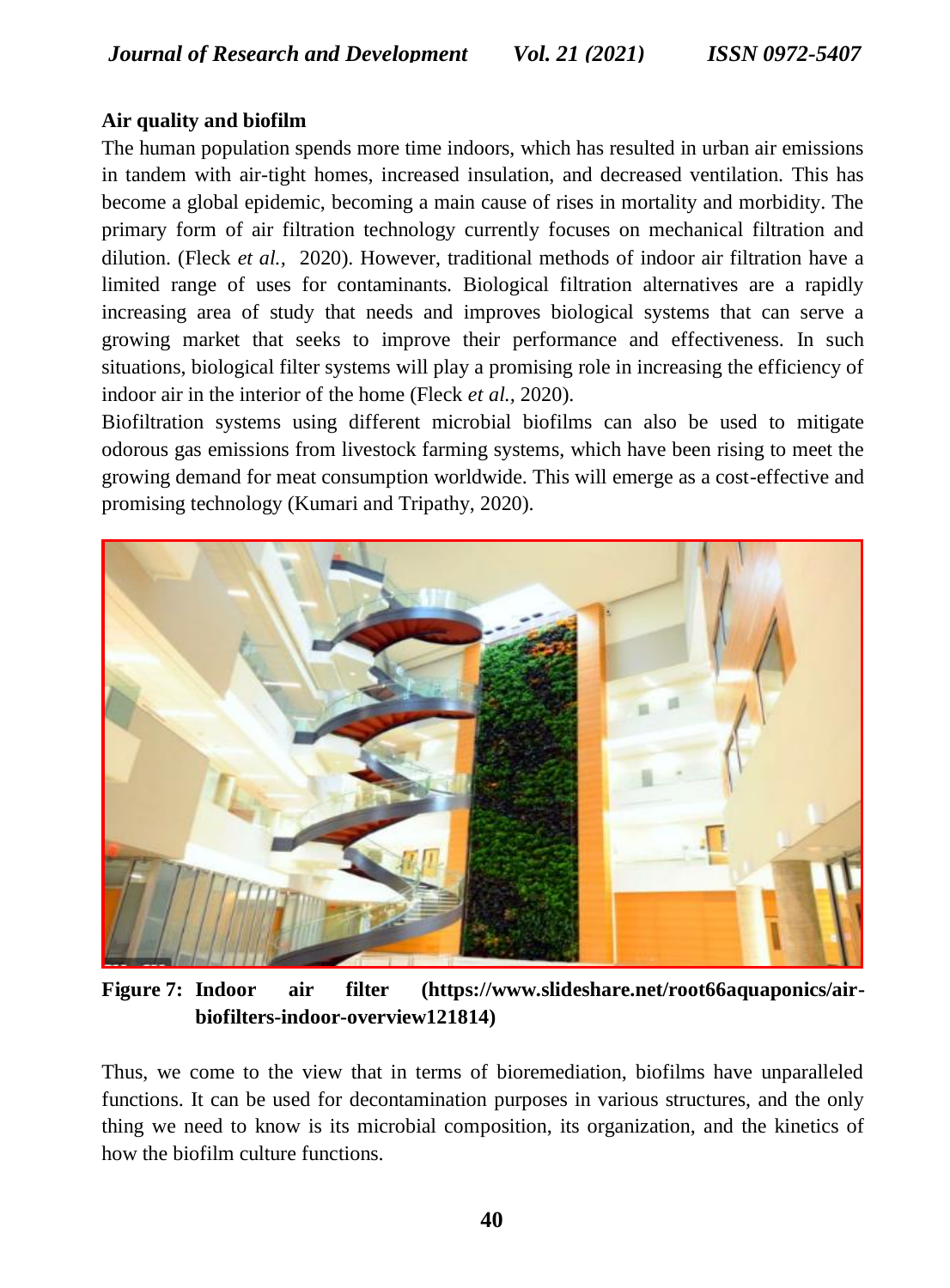#### **Air quality and biofilm**

The human population spends more time indoors, which has resulted in urban air emissions in tandem with air-tight homes, increased insulation, and decreased ventilation. This has become a global epidemic, becoming a main cause of rises in mortality and morbidity. The primary form of air filtration technology currently focuses on mechanical filtration and dilution. (Fleck *et al.,* 2020). However, traditional methods of indoor air filtration have a limited range of uses for contaminants. Biological filtration alternatives are a rapidly increasing area of study that needs and improves biological systems that can serve a growing market that seeks to improve their performance and effectiveness. In such situations, biological filter systems will play a promising role in increasing the efficiency of indoor air in the interior of the home (Fleck *et al.,* 2020).

Biofiltration systems using different microbial biofilms can also be used to mitigate odorous gas emissions from livestock farming systems, which have been rising to meet the growing demand for meat consumption worldwide. This will emerge as a cost-effective and promising technology (Kumari and Tripathy, 2020).



**Figure 7: Indoor air filter (https://www.slideshare.net/root66aquaponics/airbiofilters-indoor-overview121814)**

Thus, we come to the view that in terms of bioremediation, biofilms have unparalleled functions. It can be used for decontamination purposes in various structures, and the only thing we need to know is its microbial composition, its organization, and the kinetics of how the biofilm culture functions.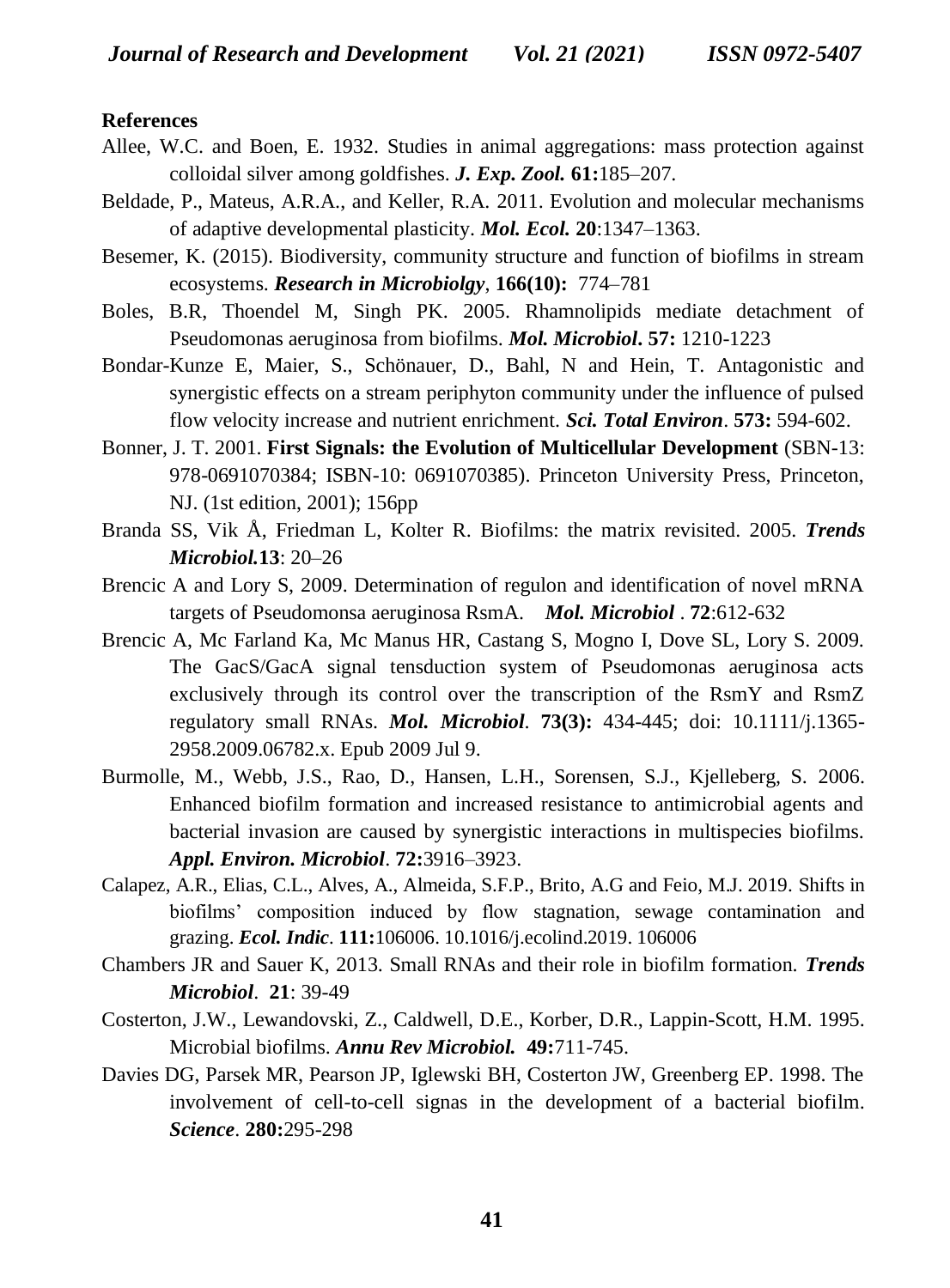#### **References**

- Allee, W.C. and Boen, E. 1932. Studies in animal aggregations: mass protection against colloidal silver among goldfishes. *J. Exp. Zool.* **61:**185–207.
- Beldade, P., Mateus, A.R.A., and Keller, R.A. 2011. Evolution and molecular mechanisms of adaptive developmental plasticity. *Mol. Ecol.* **20**:1347–1363.
- Besemer, K. (2015). Biodiversity, community structure and function of biofilms in stream ecosystems. *Research in Microbiolgy*, **166(10):** 774–781
- Boles, B.R, Thoendel M, Singh PK. 2005. Rhamnolipids mediate detachment of Pseudomonas aeruginosa from biofilms. *Mol. Microbiol***. 57:** 1210-1223
- Bondar-Kunze E, Maier, S., Schönauer, D., Bahl, N and Hein, T. Antagonistic and synergistic effects on a stream periphyton community under the influence of pulsed flow velocity increase and nutrient enrichment. *Sci. Total Environ*. **573:** 594-602.
- Bonner, J. T. 2001. **First Signals: the Evolution of Multicellular Development** (SBN-13: 978-0691070384; ISBN-10: 0691070385). Princeton University Press, Princeton, NJ. (1st edition, 2001); 156pp
- Branda SS, Vik Å, Friedman L, Kolter R. Biofilms: the matrix revisited. 2005. *Trends Microbiol.***13**: 20–26
- Brencic A and Lory S, 2009. Determination of regulon and identification of novel mRNA targets of Pseudomonsa aeruginosa RsmA. *Mol. Microbiol* . **72**:612-632
- Brencic A, Mc Farland Ka, Mc Manus HR, Castang S, Mogno I, Dove SL, Lory S. 2009. The GacS/GacA signal tensduction system of Pseudomonas aeruginosa acts exclusively through its control over the transcription of the RsmY and RsmZ regulatory small RNAs. *Mol. Microbiol*. **73(3):** 434-445; doi: 10.1111/j.1365- 2958.2009.06782.x. Epub 2009 Jul 9.
- Burmolle, M., Webb, J.S., Rao, D., Hansen, L.H., Sorensen, S.J., Kjelleberg, S. 2006. Enhanced biofilm formation and increased resistance to antimicrobial agents and bacterial invasion are caused by synergistic interactions in multispecies biofilms. *Appl. Environ. Microbiol*. **72:**3916–3923.
- Calapez, A.R., Elias, C.L., Alves, A., Almeida, S.F.P., Brito, A.G and Feio, M.J. 2019. Shifts in biofilms' composition induced by flow stagnation, sewage contamination and grazing. *Ecol. Indic.* **111:**106006. 10.1016/j.ecolind.2019. 106006
- Chambers JR and Sauer K, 2013. Small RNAs and their role in biofilm formation. *Trends Microbiol*. **21**: 39-49
- Costerton, J.W., Lewandovski, Z., Caldwell, D.E., Korber, D.R., Lappin-Scott, H.M. 1995. Microbial biofilms. *Annu Rev Microbiol.* **49:**711-745.
- Davies DG, Parsek MR, Pearson JP, Iglewski BH, Costerton JW, Greenberg EP. 1998. The involvement of cell-to-cell signas in the development of a bacterial biofilm. *Science*. **280:**295-298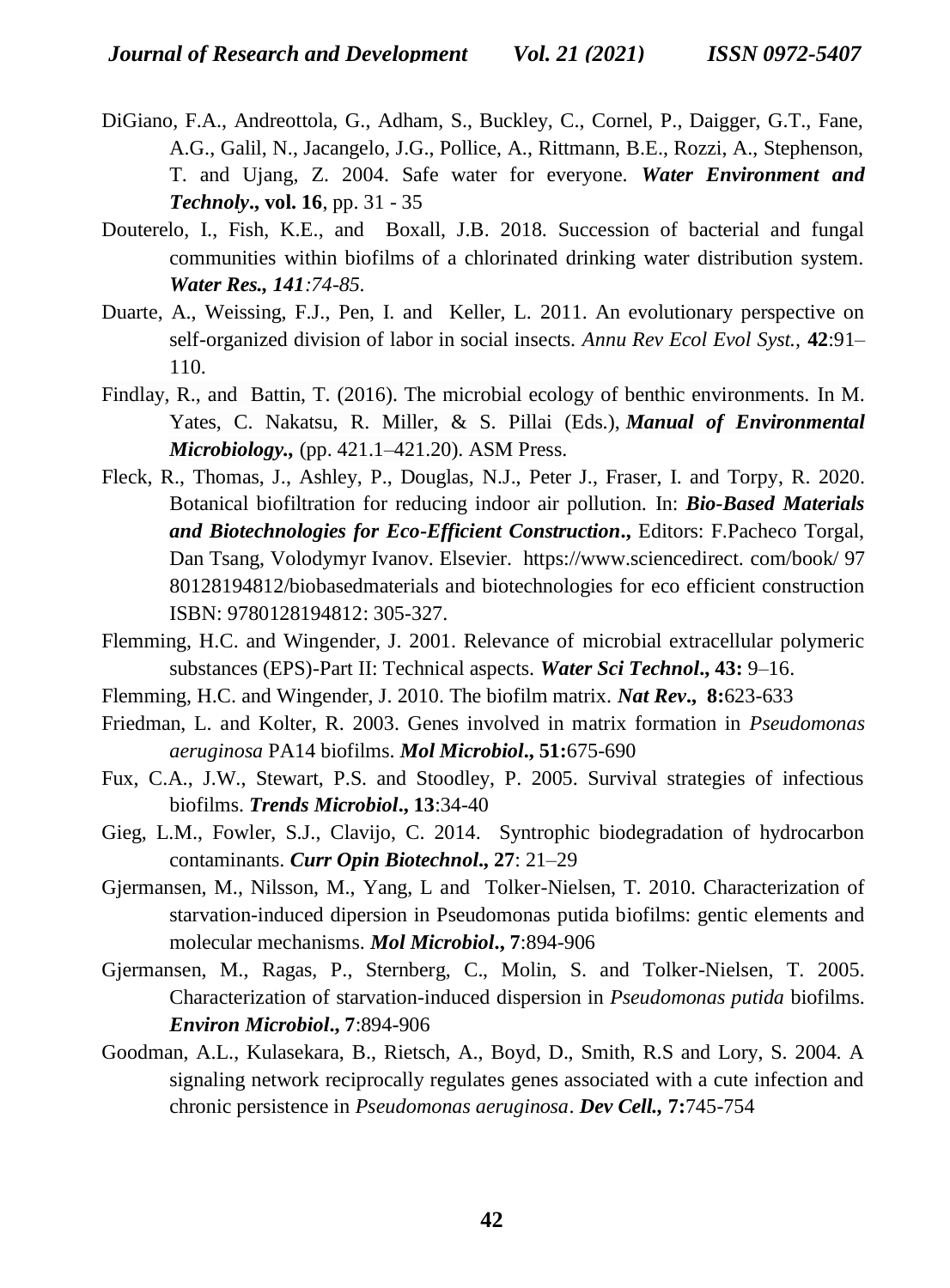- DiGiano, F.A., Andreottola, G., Adham, S., Buckley, C., Cornel, P., Daigger, G.T., Fane, A.G., Galil, N., Jacangelo, J.G., Pollice, A., Rittmann, B.E., Rozzi, A., Stephenson, T. and Ujang, Z. 2004. Safe water for everyone. *Water Environment and Technoly***., vol. 16**, pp. 31 - 35
- Douterelo, I., Fish, K.E., and Boxall, J.B. 2018. Succession of bacterial and fungal communities within biofilms of a chlorinated drinking water distribution system. *Water Res., 141:74-85.*
- Duarte, A., Weissing, F.J., Pen, I. and Keller, L. 2011. An evolutionary perspective on self-organized division of labor in social insects. *Annu Rev Ecol Evol Syst.,* **42**:91– 110.
- Findlay, R., and Battin, T. (2016). The microbial ecology of benthic environments. In M. Yates, C. Nakatsu, R. Miller, & S. Pillai (Eds.), *Manual of Environmental Microbiology.,* (pp. 421.1–421.20). ASM Press.
- [Fleck,](https://www.sciencedirect.com/science/article/pii/B9780128194812000155#!) R., [Thomas, J., Ashley, P., Douglas,](https://www.sciencedirect.com/science/article/pii/B9780128194812000155#!) N.J., [Peter J., Fraser, I. and Torpy,](https://www.sciencedirect.com/science/article/pii/B9780128194812000155#!) R. 2020. Botanical biofiltration for reducing indoor air pollution. In: *[Bio-Based Materials](https://www.sciencedirect.com/science/book/9780128194812)  [and Biotechnologies for Eco-Efficient Construction](https://www.sciencedirect.com/science/book/9780128194812)***.,** Editors: F.Pacheco Torgal, Dan Tsang, Volodymyr Ivanov. Elsevier. https://www.sciencedirect. com/book/ 97 80128194812/biobasedmaterials and biotechnologies for eco efficient construction ISBN: 9780128194812: 305-327.
- Flemming, H.C. and Wingender, J. 2001. Relevance of microbial extracellular polymeric substances (EPS)-Part II: Technical aspects. *Water Sci Technol***., 43:** 9–16.
- Flemming, H.C. and Wingender, J. 2010. The biofilm matrix. *Nat Rev***., 8:**623-633
- Friedman, L. and Kolter, R. 2003. Genes involved in matrix formation in *Pseudomonas aeruginosa* PA14 biofilms. *Mol Microbiol***., 51:**675-690
- Fux, C.A., J.W., Stewart, P.S. and Stoodley, P. 2005. Survival strategies of infectious biofilms. *Trends Microbiol***., 13**:34-40
- Gieg, L.M., Fowler, S.J., Clavijo, C. 2014. Syntrophic biodegradation of hydrocarbon contaminants. *Curr Opin Biotechnol***., 27**: 21–29
- Gjermansen, M., Nilsson, M., Yang, L and Tolker-Nielsen, T. 2010. Characterization of starvation-induced dipersion in Pseudomonas putida biofilms: gentic elements and molecular mechanisms. *Mol Microbiol***., 7**:894-906
- Gjermansen, M., Ragas, P., Sternberg, C., Molin, S. and Tolker-Nielsen, T. 2005. Characterization of starvation-induced dispersion in *Pseudomonas putida* biofilms. *Environ Microbiol***., 7**:894-906
- Goodman, A.L., Kulasekara, B., Rietsch, A., Boyd, D., Smith, R.S and Lory, S. 2004. A signaling network reciprocally regulates genes associated with a cute infection and chronic persistence in *Pseudomonas aeruginosa*. *Dev Cell.,* **7:**745-754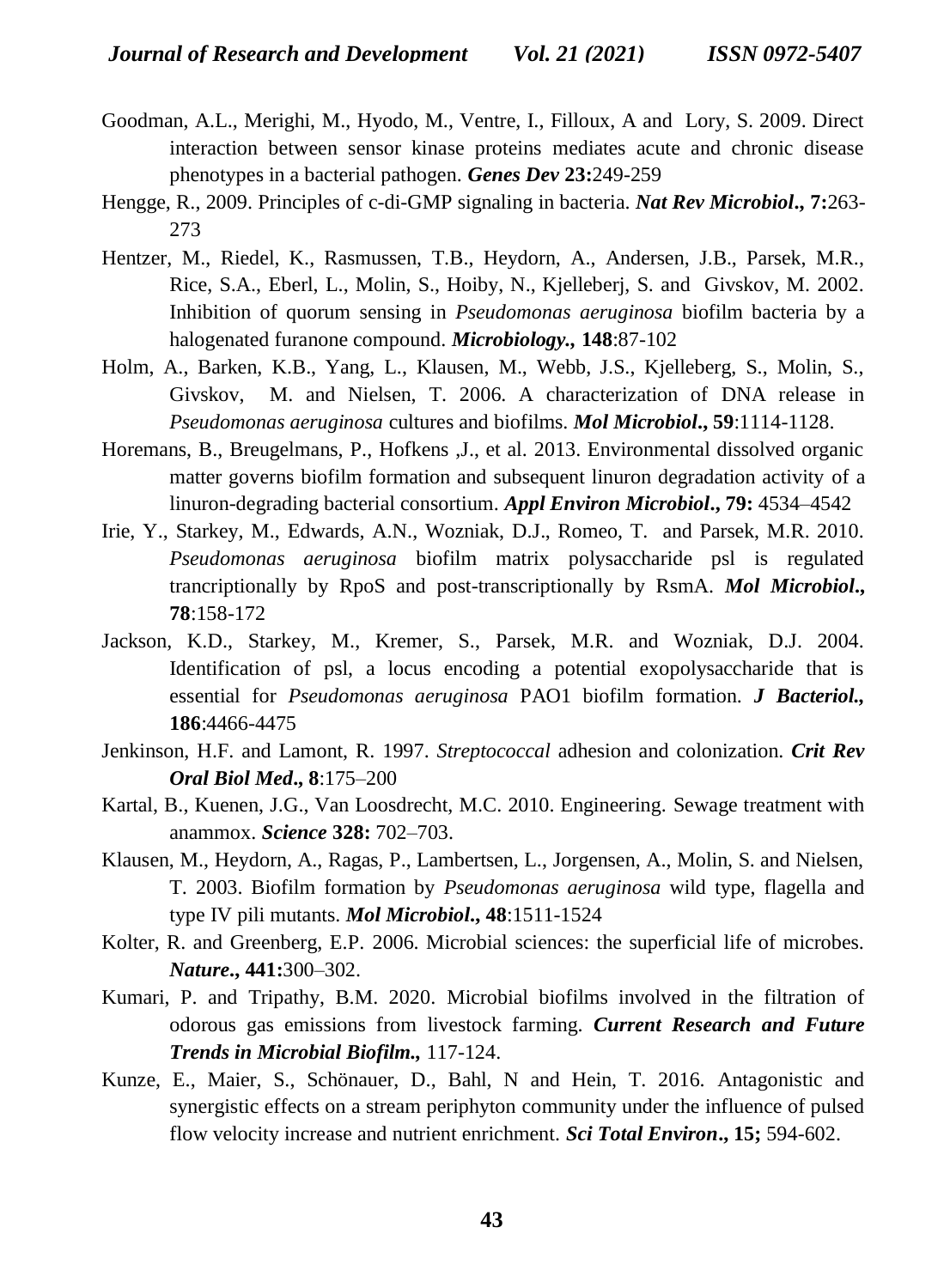- Goodman, A.L., Merighi, M., Hyodo, M., Ventre, I., Filloux, A and Lory, S. 2009. Direct interaction between sensor kinase proteins mediates acute and chronic disease phenotypes in a bacterial pathogen. *Genes Dev* **23:**249-259
- Hengge, R., 2009. Principles of c-di-GMP signaling in bacteria. *Nat Rev Microbiol***., 7:**263- 273
- Hentzer, M., Riedel, K., Rasmussen, T.B., Heydorn, A., Andersen, J.B., Parsek, M.R., Rice, S.A., Eberl, L., Molin, S., Hoiby, N., Kjelleberj, S. and Givskov, M. 2002. Inhibition of quorum sensing in *Pseudomonas aeruginosa* biofilm bacteria by a halogenated furanone compound. *Microbiology.,* **148**:87-102
- Holm, A., Barken, K.B., Yang, L., Klausen, M., Webb, J.S., Kjelleberg, S., Molin, S., Givskov, M. and Nielsen, T. 2006. A characterization of DNA release in *Pseudomonas aeruginosa* cultures and biofilms. *Mol Microbiol***., 59**:1114-1128.
- Horemans, B., Breugelmans, P., Hofkens ,J., et al. 2013. Environmental dissolved organic matter governs biofilm formation and subsequent linuron degradation activity of a linuron-degrading bacterial consortium. *Appl Environ Microbiol***., 79:** 4534–4542
- Irie, Y., Starkey, M., Edwards, A.N., Wozniak, D.J., Romeo, T. and Parsek, M.R. 2010. *Pseudomonas aeruginosa* biofilm matrix polysaccharide psl is regulated trancriptionally by RpoS and post-transcriptionally by RsmA. *Mol Microbiol***., 78**:158-172
- Jackson, K.D., Starkey, M., Kremer, S., Parsek, M.R. and Wozniak, D.J. 2004. Identification of psl, a locus encoding a potential exopolysaccharide that is essential for *Pseudomonas aeruginosa* PAO1 biofilm formation. *J Bacteriol.,* **186**:4466-4475
- Jenkinson, H.F. and Lamont, R. 1997. *Streptococcal* adhesion and colonization. *Crit Rev Oral Biol Med***., 8**:175–200
- Kartal, B., Kuenen, J.G., Van Loosdrecht, M.C. 2010. Engineering. Sewage treatment with anammox. *Science* **328:** 702–703.
- Klausen, M., Heydorn, A., Ragas, P., Lambertsen, L., Jorgensen, A., Molin, S. and Nielsen, T. 2003. Biofilm formation by *Pseudomonas aeruginosa* wild type, flagella and type IV pili mutants. *Mol Microbiol***., 48**:1511-1524
- Kolter, R. and Greenberg, E.P. 2006. Microbial sciences: the superficial life of microbes. *Nature***., 441:**300–302.
- Kumari, P. and Tripathy, B.M. 2020. Microbial biofilms involved in the filtration of odorous gas emissions from livestock farming. *Current Research and Future Trends in Microbial Biofilm.,* 117-124.
- Kunze, E., Maier, S., Schönauer, D., Bahl, N and Hein, T. 2016. Antagonistic and synergistic effects on a stream periphyton community under the influence of pulsed flow velocity increase and nutrient enrichment. *Sci Total Environ***., 15;** 594-602.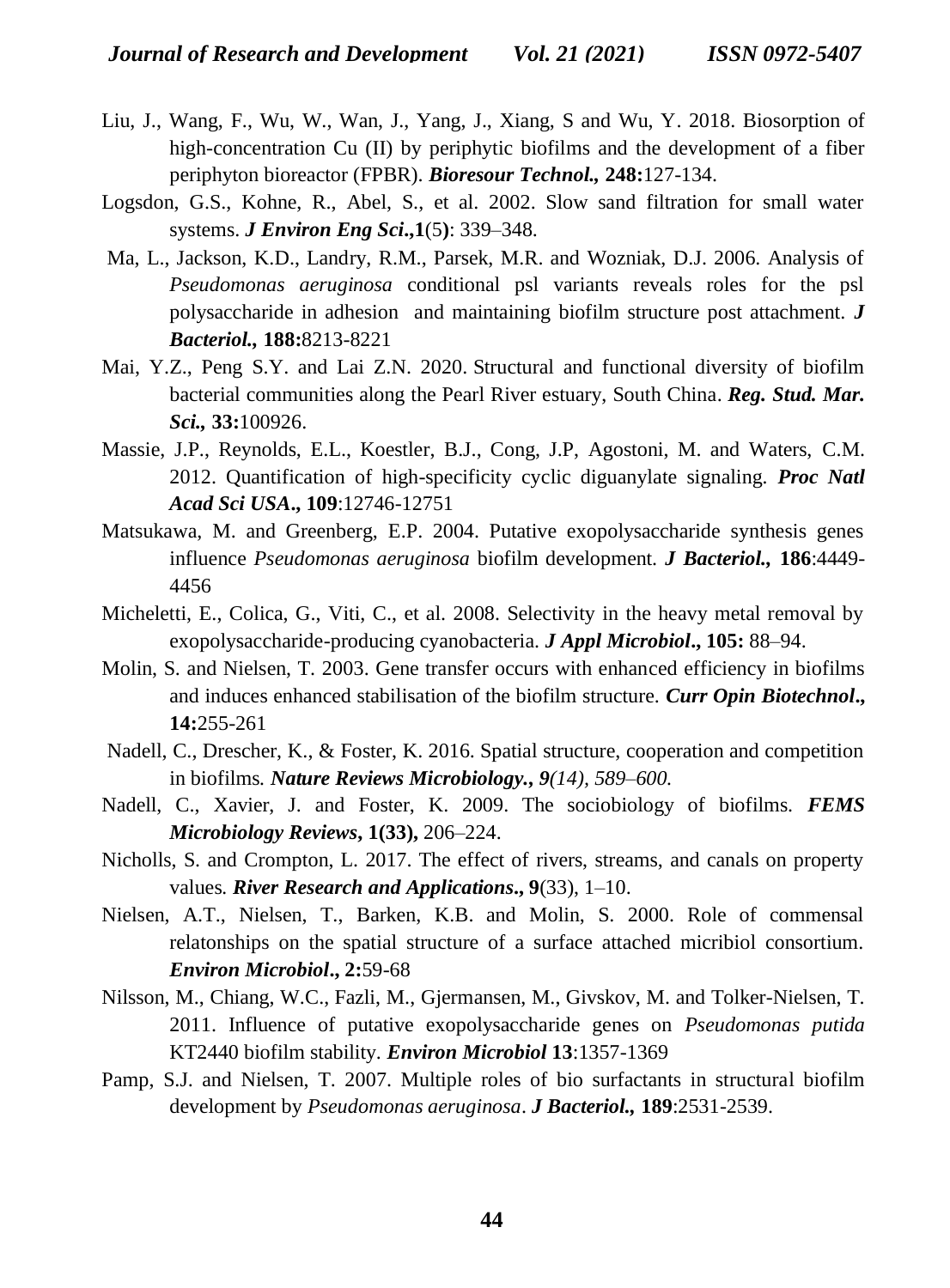- Liu, J., Wang, F., Wu, W., Wan, J., Yang, J., Xiang, S and Wu, Y. 2018. Biosorption of high-concentration Cu (II) by periphytic biofilms and the development of a fiber periphyton bioreactor (FPBR). *Bioresour Technol.,* **248:**127-134.
- Logsdon, G.S., Kohne, R., Abel, S., et al. 2002. Slow sand filtration for small water systems. *J Environ Eng Sci***.,1**(5**)**: 339–348.
- Ma, L., Jackson, K.D., Landry, R.M., Parsek, M.R. and Wozniak, D.J. 2006. Analysis of *Pseudomonas aeruginosa* conditional psl variants reveals roles for the psl polysaccharide in adhesion and maintaining biofilm structure post attachment. *J Bacteriol.,* **188:**8213-8221
- Mai, Y.Z., Peng S.Y. and Lai Z.N. 2020. Structural and functional diversity of biofilm bacterial communities along the Pearl River estuary, South China. *Reg. Stud. Mar. Sci.,* **33:**100926.
- Massie, J.P., Reynolds, E.L., Koestler, B.J., Cong, J.P, Agostoni, M. and Waters, C.M. 2012. Quantification of high-specificity cyclic diguanylate signaling*. Proc Natl Acad Sci USA***., 109**:12746-12751
- Matsukawa, M. and Greenberg, E.P. 2004. Putative exopolysaccharide synthesis genes influence *Pseudomonas aeruginosa* biofilm development. *J Bacteriol.,* **186**:4449- 4456
- Micheletti, E., Colica, G., Viti, C., et al. 2008. Selectivity in the heavy metal removal by exopolysaccharide-producing cyanobacteria. *J Appl Microbiol***., 105:** 88–94.
- Molin, S. and Nielsen, T. 2003. Gene transfer occurs with enhanced efficiency in biofilms and induces enhanced stabilisation of the biofilm structure. *Curr Opin Biotechnol***., 14:**255-261
- Nadell, C., Drescher, K., & Foster, K. 2016. Spatial structure, cooperation and competition in biofilms*. Nature Reviews Microbiology., 9(14), 589–600.*
- Nadell, C., Xavier, J. and Foster, K. 2009. The sociobiology of biofilms. *FEMS Microbiology Reviews***, 1(33),** 206–224.
- Nicholls, S. and Crompton, L. 2017. The effect of rivers, streams, and canals on property values*. River Research and Applications***., 9**(33), 1–10.
- Nielsen, A.T., Nielsen, T., Barken, K.B. and Molin, S. 2000. Role of commensal relatonships on the spatial structure of a surface attached micribiol consortium. *Environ Microbiol***., 2:**59-68
- Nilsson, M., Chiang, W.C., Fazli, M., Gjermansen, M., Givskov, M. and Tolker-Nielsen, T. 2011. Influence of putative exopolysaccharide genes on *Pseudomonas putida* KT2440 biofilm stability. *Environ Microbiol* **13**:1357-1369
- Pamp, S.J. and Nielsen, T. 2007. Multiple roles of bio surfactants in structural biofilm development by *Pseudomonas aeruginosa*. *J Bacteriol.,* **189**:2531-2539.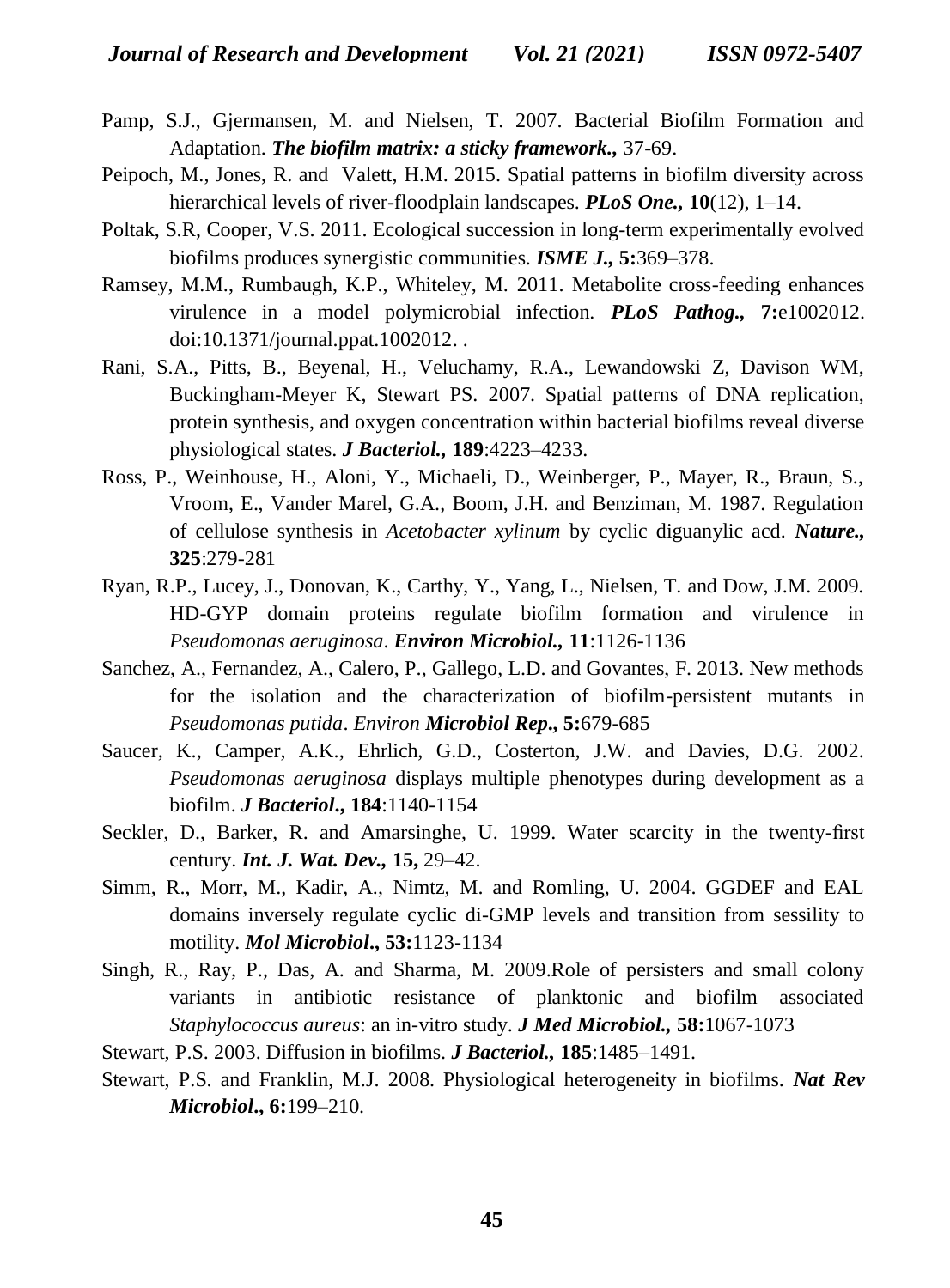- Pamp, S.J., Gjermansen, M. and Nielsen, T. 2007. Bacterial Biofilm Formation and Adaptation. *The biofilm matrix: a sticky framework.,* 37-69.
- Peipoch, M., Jones, R. and Valett, H.M. 2015. Spatial patterns in biofilm diversity across hierarchical levels of river-floodplain landscapes. *PLoS One.,* **10**(12), 1–14.
- Poltak, S.R, Cooper, V.S. 2011. Ecological succession in long-term experimentally evolved biofilms produces synergistic communities. *ISME J.,* **5:**369–378.
- Ramsey, M.M., Rumbaugh, K.P., Whiteley, M. 2011. Metabolite cross-feeding enhances virulence in a model polymicrobial infection. *PLoS Pathog.,* **7:**e1002012. [doi:10.1371/journal.ppat.1002012.](http://dx.doi.org/10.1371/journal.ppat.1002012) .
- Rani, S.A., Pitts, B., Beyenal, H., Veluchamy, R.A., Lewandowski Z, Davison WM, Buckingham-Meyer K, Stewart PS. 2007. Spatial patterns of DNA replication, protein synthesis, and oxygen concentration within bacterial biofilms reveal diverse physiological states. *J Bacteriol.,* **189**:4223–4233.
- Ross, P., Weinhouse, H., Aloni, Y., Michaeli, D., Weinberger, P., Mayer, R., Braun, S., Vroom, E., Vander Marel, G.A., Boom, J.H. and Benziman, M. 1987. Regulation of cellulose synthesis in *Acetobacter xylinum* by cyclic diguanylic acd. *Nature.,* **325**:279-281
- Ryan, R.P., Lucey, J., Donovan, K., Carthy, Y., Yang, L., Nielsen, T. and Dow, J.M. 2009. HD-GYP domain proteins regulate biofilm formation and virulence in *Pseudomonas aeruginosa*. *Environ Microbiol.,* **11**:1126-1136
- Sanchez, A., Fernandez, A., Calero, P., Gallego, L.D. and Govantes, F. 2013. New methods for the isolation and the characterization of biofilm-persistent mutants in *Pseudomonas putida*. *Environ Microbiol Rep***., 5:**679-685
- Saucer, K., Camper, A.K., Ehrlich, G.D., Costerton, J.W. and Davies, D.G. 2002. *Pseudomonas aeruginosa* displays multiple phenotypes during development as a biofilm. *J Bacteriol***., 184**:1140-1154
- Seckler, D., Barker, R. and Amarsinghe, U. 1999. Water scarcity in the twenty-first century. *Int. J. Wat. Dev.,* **15,** 29–42.
- Simm, R., Morr, M., Kadir, A., Nimtz, M. and Romling, U. 2004. GGDEF and EAL domains inversely regulate cyclic di-GMP levels and transition from sessility to motility. *Mol Microbiol***., 53:**1123-1134
- Singh, R., Ray, P., Das, A. and Sharma, M. 2009.Role of persisters and small colony variants in antibiotic resistance of planktonic and biofilm associated *Staphylococcus aureus*: an in-vitro study. *J Med Microbiol.,* **58:**1067-1073
- Stewart, P.S. 2003. Diffusion in biofilms. *J Bacteriol.,* **185**:1485–1491.
- Stewart, P.S. and Franklin, M.J. 2008. Physiological heterogeneity in biofilms. *Nat Rev Microbiol***., 6:**199–210.